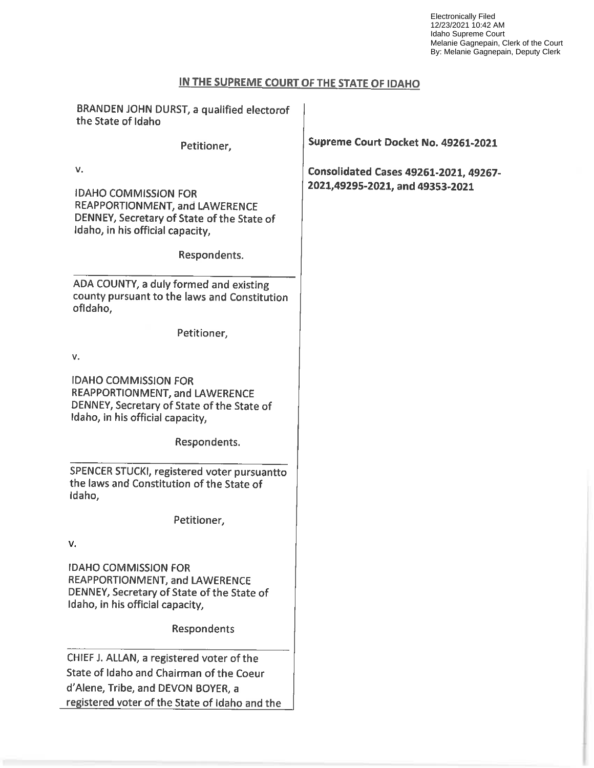Electronically Filed 12/23/2021 10:42 AM Idaho Supreme Court Melanie Gagnepain, Clerk of the Court By: Melanie Gagnepain, Deputy Clerk

# IN THE SUPREME COURT OF THE STATE OF IDAHO

| BRANDEN JOHN DURST, a qualified electorof<br>the State of Idaho                                                                                 |                                              |
|-------------------------------------------------------------------------------------------------------------------------------------------------|----------------------------------------------|
| Petitioner,                                                                                                                                     | Supreme Court Docket No. 49261-2021          |
| v.                                                                                                                                              | <b>Consolidated Cases 49261-2021, 49267-</b> |
| <b>IDAHO COMMISSION FOR</b><br>REAPPORTIONMENT, and LAWERENCE<br>DENNEY, Secretary of State of the State of<br>Idaho, in his official capacity, | 2021,49295-2021, and 49353-2021              |
| Respondents.                                                                                                                                    |                                              |
| ADA COUNTY, a duly formed and existing<br>county pursuant to the laws and Constitution<br>ofidaho,                                              |                                              |
| Petitioner,                                                                                                                                     |                                              |
| ۷.                                                                                                                                              |                                              |
| <b>IDAHO COMMISSION FOR</b><br>REAPPORTIONMENT, and LAWERENCE<br>DENNEY, Secretary of State of the State of<br>Idaho, in his official capacity, |                                              |
| Respondents.                                                                                                                                    |                                              |
| SPENCER STUCKI, registered voter pursuantto<br>the laws and Constitution of the State of<br>Idaho,                                              |                                              |
| Petitioner,                                                                                                                                     |                                              |
| v.                                                                                                                                              |                                              |
| <b>IDAHO COMMISSION FOR</b><br>REAPPORTIONMENT, and LAWERENCE<br>DENNEY, Secretary of State of the State of<br>Idaho, in his official capacity, |                                              |
| Respondents                                                                                                                                     |                                              |
| CHIEF J. ALLAN, a registered voter of the                                                                                                       |                                              |
| State of Idaho and Chairman of the Coeur                                                                                                        |                                              |
| d'Alene, Tribe, and DEVON BOYER, a                                                                                                              |                                              |
| registered voter of the State of Idaho and the                                                                                                  |                                              |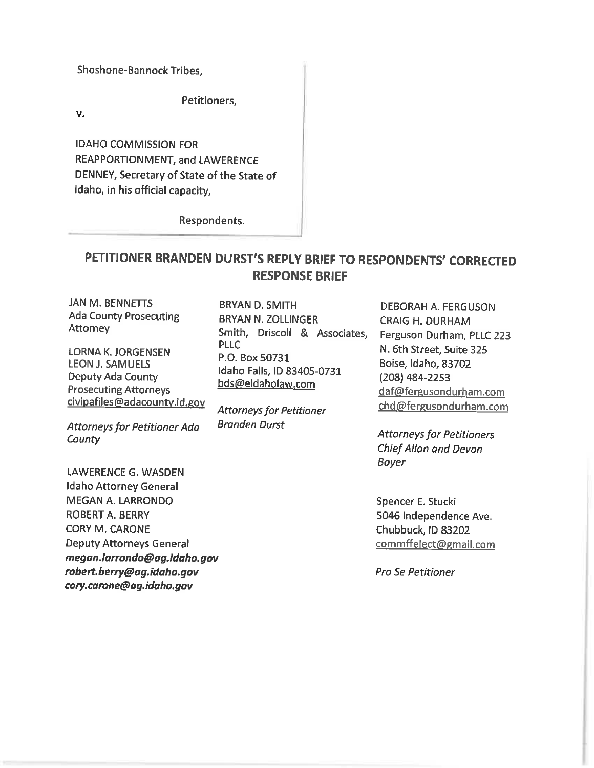Shoshone-Bannock Tribes,

Petitioners,

 $V_{\star}$ 

IDAHO COMMISSION FOR REAPPORTIONMENT, and LAWERENCE DENNEY, Secretary of State of the State of Idaho, in his official capacity,

Respondents.

# PETITIONER BRANDEN DURST'S REPLY BRIEF T0 RESPONDENTS' CORRECTED RESPONSE BRIEF

JAN M. BENNETTS Ada County Prosecuting **Attorney** 

LORNA K. JORGENSEN LEON J. SAMUELS Deputy Ada County Prosecuting Attorneys civipafiles@adacounty.id.gov

Attorneys for Petitioner Ada **County** 

LAWERENCE G. WASDEN Idaho Attorney General MEGAN A. LARRONDO ROBERT A. BERRY CORY M. CARONE Deputy Attorneys General megan.larrondo@ag.idaho.gov robert.berry@ag.idaho.gov cory.carone@ag.idaho.gov

BRYAN D. SMITH BRYAN N. ZOLLINGER Smith, Driscoll & Associates, P.O. Box 50731 idaho Falls, ID 83405-0731 bds@eidaholaw.com PLLC

Attorneys for Petitioner Branden Durst

DEBORAH A. FERGUSON CRAIG H. DURHAM Ferguson Durham, PLLC 223 N. 6th Street, Suite 325 Boise, Idaho, 83702 (208) 484-2253 daf@fergusondurham.com chd@fergusondurham.com

Attorneys for Petitioners ChiefAllan and Devon Boyer

Spencer E. Stucki 5046 Independence Ave. Chubbuck, lD 83202 commffelect@email.com

Pro Se Petitioner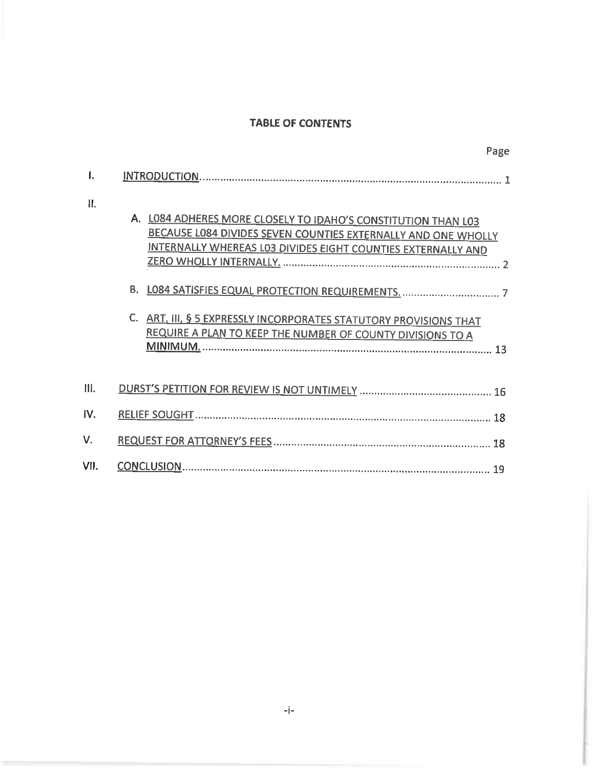## TABLE OF CONTENTS

Page

| Ш.   | A. LOB4 ADHERES MORE CLOSELY TO IDAHO'S CONSTITUTION THAN LO3<br>BECAUSE LO84 DIVIDES SEVEN COUNTIES EXTERNALLY AND ONE WHOLLY<br>INTERNALLY WHEREAS LO3 DIVIDES EIGHT COUNTIES EXTERNALLY AND<br>В.<br>ART. III, § 5 EXPRESSLY INCORPORATES STATUTORY PROVISIONS THAT<br>REQUIRE A PLAN TO KEEP THE NUMBER OF COUNTY DIVISIONS TO A |
|------|--------------------------------------------------------------------------------------------------------------------------------------------------------------------------------------------------------------------------------------------------------------------------------------------------------------------------------------|
| Ш.   |                                                                                                                                                                                                                                                                                                                                      |
| IV.  | 18                                                                                                                                                                                                                                                                                                                                   |
| V.   |                                                                                                                                                                                                                                                                                                                                      |
| VII. | 19                                                                                                                                                                                                                                                                                                                                   |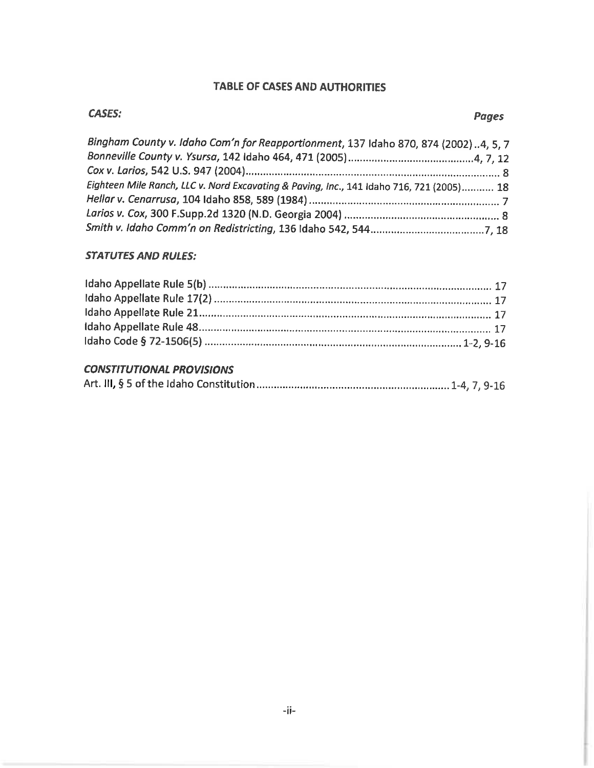## TABLE OF CASES AND AUTHORITIES

| Bingham County v. Idaho Com'n for Reapportionment, 137 Idaho 870, 874 (2002)4, 5, 7      |  |
|------------------------------------------------------------------------------------------|--|
|                                                                                          |  |
|                                                                                          |  |
| Eighteen Mile Ranch, LLC v. Nord Excavating & Paving, Inc., 141 Idaho 716, 721 (2005) 18 |  |
|                                                                                          |  |
|                                                                                          |  |
|                                                                                          |  |

## STATUTES AND RULES:

## CONSTITUTIONAL PROVISIONS

|--|--|--|--|--|--|--|--|--|--|--|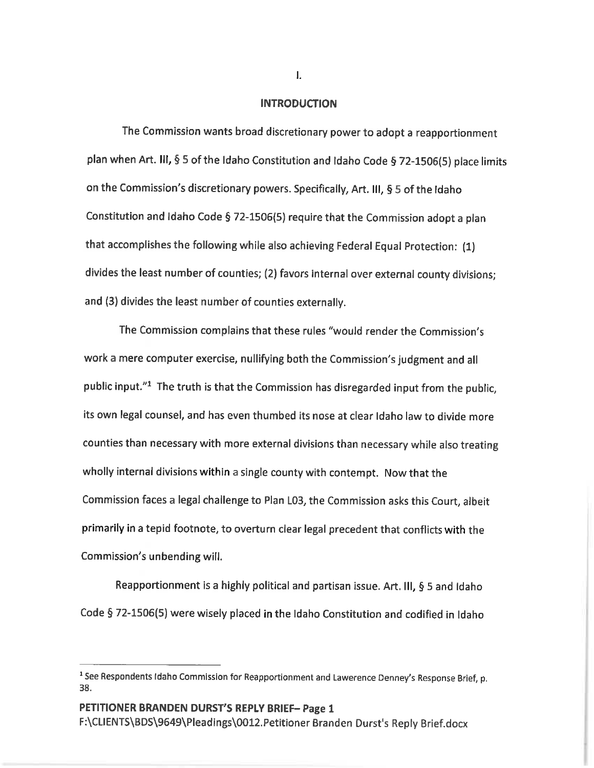## **INTRODUCTION**

The Commission wants broad discretionary power to adopt a reapportionment plan when Art. III, § 5 of the Idaho Constitution and Idaho Code § 72-1506(5) place limits on the Commission's discretionary powers. Specifically, Art. III,  $\S 5$  of the Idaho Constitution and Idaho Code § 72-1506(5) require that the Commission adopt a plan that accomplishes the following while also achieving Federal Equal Protection: (1) divides the least number of counties; (2) favors internal over external county divisions; and (3) divides the least number of counties externally.

The Commission complains that these rules "would render the Commission's work a mere computer exercise, nullifying both the Commission's judgment and all public input."<sup>1</sup> The truth is that the Commission has disregarded input from the public, its own legal counsel, and has even thumbed its nose at clear Idaho law to divide more counties than necessary with more external divisions than necessary while also treating wholly internal divisions within a single county with contempt. Now that the Commission faces a legal challenge to Plan L03, the Commission asks this Court, albeit primarily in a tepid footnote, to overturn clear legal precedent that conflicts with the Commission's unbending will.

Reapportionment is a highly political and partisan issue. Art. III, § 5 and Idaho Code § 72-1506(5) were wisely placed in the Idaho Constitution and codified in Idaho

 $\mathbf{L}$ 

<sup>&</sup>lt;sup>1</sup> See Respondents Idaho Commission for Reapportionment and Lawerence Denney's Response Brief, p.<br>38.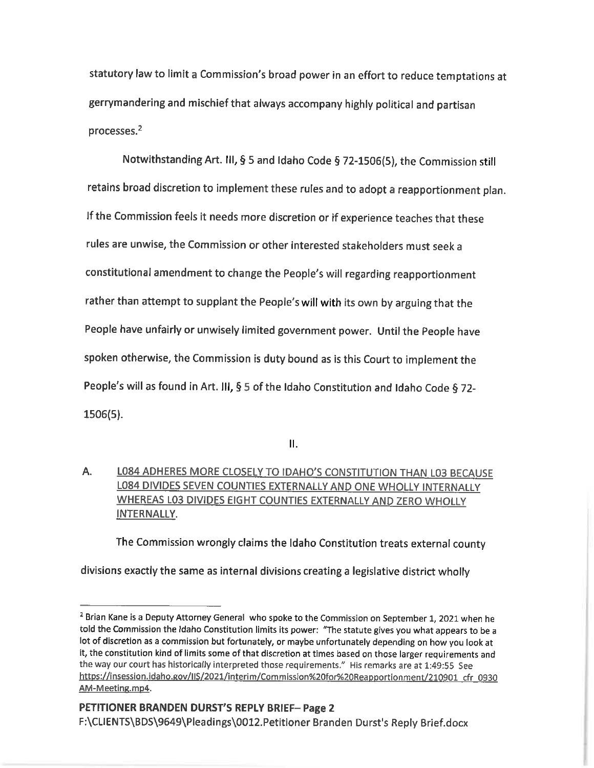statutory law to limit a Commission's broad power in an effort to reduce temptations at gerrymandering and mischief that always accompany highly political and partisan processes. $2$ 

Notwithstanding Art. III, § 5 and Idaho Code § 72-1506(5), the Commission still retains broad discretion to implement these rules and to adopt a reapportionment plan. If the Commission feels it needs more discretion or if experience teaches that these rules are unwise, the Commission or other interested stakeholders must seek constitutional amendment to change the People's will regarding reapportionment rather than attempt to supplant the People's will with its own by arguing that the People have unfairly or unwisely limited government power. Until the People have spoken otherwise, the Commission is duty bound as is this Court to implement the People's will as found in Art. III, § 5 of the Idaho Constitution and Idaho Code § 72-1506(5).

 $II.$ 

A. LOBA ADHERES MORE CLOSELY TO IDAHO'S CONSTITUTION THAN LO3 BECAUSE L084 DlVIDES SEVEN COUNTIES EXTERNALLY AND ONE WHOLLY INTERNALLY WHEREAS L03 DIVIDES EIGHT COUNTIES EXTERNALLY AND ZERO WHOLLY INTERNALLY.

The Commission wrongly claims the Idaho Constitution treats external county

divisions exactly the same as internal divisions creating a legislative district wholly

<sup>&</sup>lt;sup>2</sup> Brian Kane is a Deputy Attorney General who spoke to the Commission on September 1, 2021 when he told the Commission the Idaho Constitution limits its power: "The statute gives you what appears to be lot of discretion as a commission but fortunately, or maybe unfortunately depending on how you look at it, the constitution kind of limits some of that discretion at times based on those larger requirements and the way our court has historically interpreted those requirements." His remarks are at 1:49:55 See https://insession.idaho.gov/IIS/2021/interim/Commission%20for%20Reapportionment/210901\_cfr\_0930 AM-Meeting.mp4.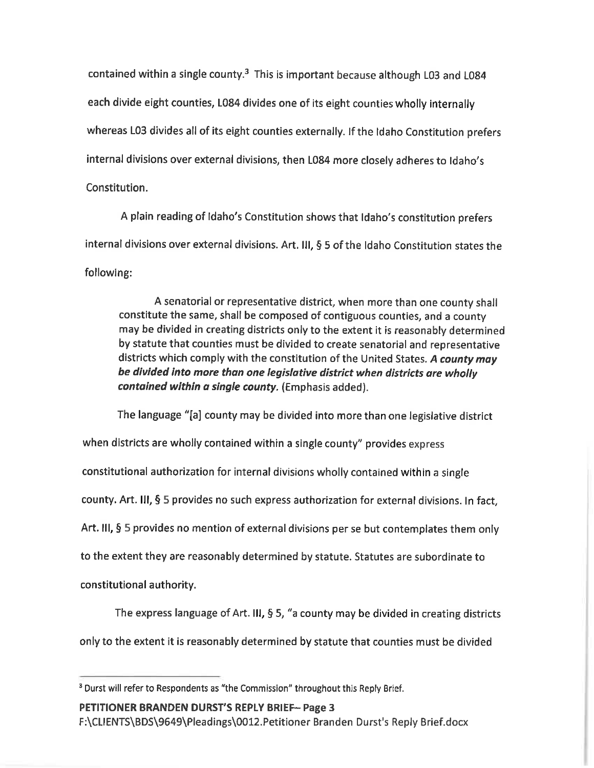contained within a single county. $3$  This is important because although L03 and L084 each divide eight counties, L084 divides one of its eight counties wholly internally whereas L03 divides all of its eight counties externally. If the Idaho Constitution prefers internal divisions over external divisions, then L084 more closely adheres to Idaho's Constitution.

plain reading of Idaho's Constitution shows that Idaho's constitution prefers internal divisions over external divisions. Art. III,  $\S$  5 of the Idaho Constitution states the following:

senatorial or representative district, when more than one county shall constitute the same, shall be composed of contiguous counties, and county may be divided in creating districts only to the extent it is reasonably determined by statute that counties must be divided to create senatorial and representative districts which comply with the constitution of the United States. A county may be divided into more than one legislative district when districts are wholly contained within a single county. (Emphasis added).

The language "[a] county may be divided into more than one legislative district when districts are wholly contained within a single county" provides express constitutional authorization for internal divisions wholly contained within single county. Art. III,  $\S$  5 provides no such express authorization for external divisions. In fact, Art. III,  $\S$  5 provides no mention of external divisions per se but contemplates them only to the extent they are reasonably determined by statute. Statutes are subordinate to constitutional authority.

The express language of Art. III,  $\S$  5, "a county may be divided in creating districts

only to the extent it is reasonably determined by statute that counties must be divided

PETITIONER BRANDEN DURST'S REPLY BRIEF- Page 3

F:\CLIENTS\BDS\9649\PIeadings\0012.Petitioner Branden Durst's Reply Brief.docx

Durst will refer to Respondents as "the Commission" throughout this Reply Brief.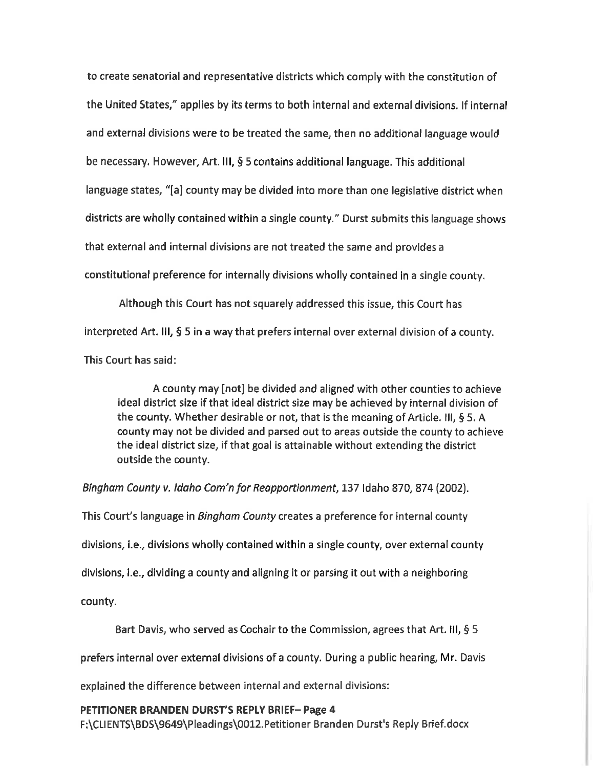to create senatorial and representative districts which comply with the constitution of the United States," applies by its terms to both internal and external divisions. If internal and external divisions were to be treated the same, then no additional language would be necessary. However, Art. III, § 5 contains additional language. This additional language states, "[a] county may be divided into more than one legislative district when districts are wholly contained within a single county." Durst submits this language shows that external and internal divisions are not treated the same and provides constitutional preference for internally divisions wholly contained in a single county.

Although this Court has not squarely addressed this issue, this Court has interpreted Art. III,  $\frac{5}{9}$  5 in a way that prefers internal over external division of a county. This Court has said:

county may [not] be divided and aligned with other counties to achieve ideal district size if that ideal district size may be achieved by internal division of the county. Whether desirable or not, that is the meaning of Article. III,  $\S$  5. A county may not be divided and parsed out to areas outside the county to achieve the ideal district size, if that goal is attainable without extending the district outside the county.

Bingham County v. ldaho Com'n for Reapportionment, 137 Idaho 870, 874 (2002).

This Court's language in Bingham County creates a preference for internal county divisions, i.e., divisions wholly contained within a single county, over external county divisions, i.e., dividing a county and aligning it or parsing it out with a neighboring county.

Bart Davis, who served as Cochair to the Commission, agrees that Art. III,  $\S 5$ 

prefers internal over external divisions of a county. During a public hearing, Mr. Davis

explained the difference between internal and external divisions:

## PETlTlONER BRANDEN DURST'S REPLY BRIEF— Page

F:\CLIENTS\BDS\9649\Pleadings\0012.Petitioner Branden Durst's Reply Briefidocx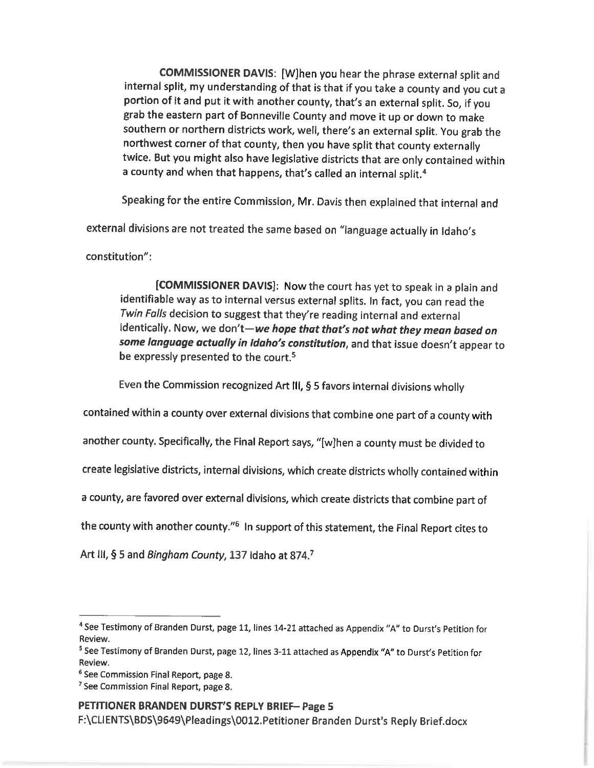COMMISSIONER DAVIS: [WJhen you hear the phrase external split and internal split, my understanding of that is that if you take a county and you cut a portion of it and put it with another county, that's an external split. So, if you grab the eastern part of Bonneville County and move it up or down to make<br>southern or northern districts work, well, there's an external split. You grab the northwest corner of that county, then you have split that county externally twice. But you might also have legislative districts that are only contained within a county and when that happens, that's called an internal split.<sup>4</sup>

Speaking for the entire Commission, Mr. Davis then explained that internal and

external divisions are not treated the same based on "language actually in Idaho's

constitution":

[COMMISSIONER DAVIS]: Now the court has yet to speak in a plain and identifiable way as to internal versus external splits. In fact, you can read the Twin Falls decision to suggest that they're reading internal and external identically. Now, we don't—we hope that that's not what they mean based on some language actually in Idaho's constitution, and that issue doesn't appear to be expressly presented to the court.<sup>5</sup>

Even the Commission recognized Art III,  $§$  5 favors internal divisions wholly

contained within a county over external divisions that combine one part of a county with

another county. Specifically, the Final Report says, "[w]hen a county must be divided to

create legislative districts, internal divisions, which create districts wholly contained within

a county, are favored over external divisions, which create districts that combine part of

the county with another county."<sup>6</sup> In support of this statement, the Final Report cites to

Art III, § 5 and Bingham County, 137 Idaho at 874.7

## PETITIONER BRANDEN DURST'S REPLY BRIEF— Page

F:\CLlENTS\BDS\9649\Pleadings\0012.Petitioner Branden Durst's Reply Brief.docx

<sup>4</sup>See Testimony of Branden Durst, page 11, lines 14-21 attached as Appendix "A" to Durst's Petition for Review.

<sup>&</sup>lt;sup>5</sup> See Testimony of Branden Durst, page 12, lines 3-11 attached as Appendix "A" to Durst's Petition for Review.

<sup>&</sup>lt;sup>6</sup> See Commission Final Report, page 8.

<sup>&</sup>lt;sup>7</sup> See Commission Final Report, page 8.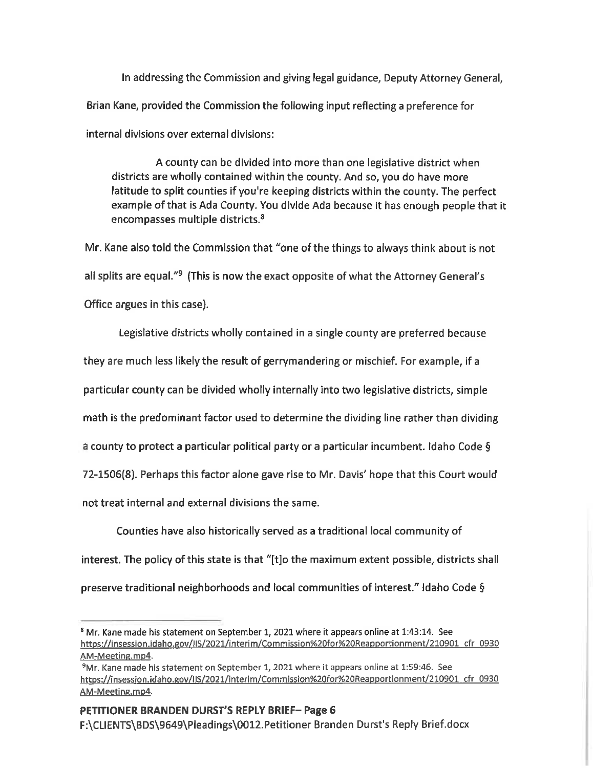In addressing the Commission and giving legal guidance, Deputy Attorney General, Brian Kane, provided the Commission the following input reflecting a preference for internal divisions over external divisions:

county can be divided into more than one legislative district when districts are wholly contained within the county. And so, you do have more latitude to split counties if you're keeping districts within the county. The perfect example of that is Ada County. You divide Ada because it has enough people that it encompasses multiple districts.<sup>8</sup>

Mr. Kane also told the Commission that "one of the things to always think about is not all splits are equal."<sup>9</sup> (This is now the exact opposite of what the Attorney General's Office argues in this case).

Legislative districts wholly contained in single county are preferred because they are much less likely the result of gerrymandering or mischief. For example, if particular county can be divided wholly internally into two legislative districts, simple math is the predominant factor used to determine the dividing line rather than dividing a county to protect a particular political party or a particular incumbent. Idaho Code  $\S$ 72-1506(8). Perhaps this factor alone gave rise to Mr. Davis' hope that this Court would not treat internal and external divisions the same.

Counties have also historically served as a traditional local community of interest. The policy of this state is that "[t]o the maximum extent possible, districts shall preserve traditional neighborhoods and local communities of interest." ldaho Code

<sup>&</sup>lt;sup>8</sup> Mr. Kane made his statement on September 1, 2021 where it appears online at 1:43:14. See http<u>s://insession.idaho.gov/IIS/2021/interim/Commission%20for%20Reapportionment/210901\_cfr\_0930</u> AM-Meeting.mp4.

<sup>&</sup>quot;Mr. Kane made his statement on September 1, 2021 where it appears online at 1:59:46. See https://insession.idaho.gov/IIS/2021/interim/Commission%20for%20Reapportionment/210901\_cfr\_0930 AM-Meeting.mp4.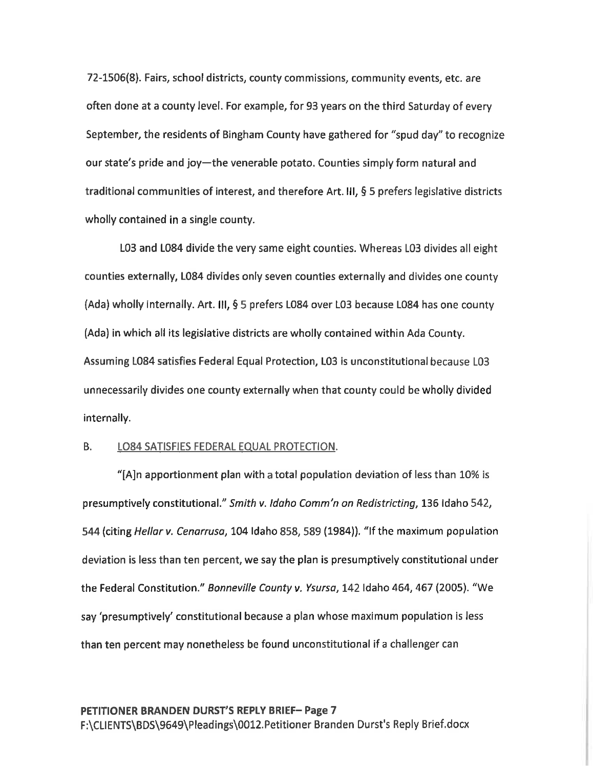72-1506(8). Fairs, school districts, county commissions, community events, etc. are often done at county level. For example, for 93 years on the third Saturday of every September, the residents of Bingham County have gathered for "Spud day" to recognize our state's pride and joy—the venerable potato. Counties simply form natural and traditional communities of interest, and therefore Art. III,  $\S$  5 prefers legislative districts wholly contained in a single county.

L03 and L084 divide the very same eight counties. Whereas L03 divides all eight counties externally, L084 divides only seven counties externally and divides one county (Ada) wholly internally. Art. III,  $\S$  5 prefers L084 over L03 because L084 has one county (Ada) in which all its legislative districts are wholly contained within Ada County. Assuming L084 satisfies Federal Equal Protection, L03 is unconstitutional because L03 unnecessarily divides one county externally when that county could be wholly divided internally.

## B. LO84 SATISFIES FEDERAL EQUAL PROTECTION.

"[A]n apportionment plan with a total population deviation of less than  $10\%$  is presumptively constitutional." Smith v. Idaho Comm'n on Redistricting, 136 Idaho 542, 544 (citing Hellar v. Cenarrusa, 104 Idaho 858, 589 (1984)). "If the maximum population deviation is less than ten percent, we say the plan is presumptively constitutional under the Federal Constitution." Bonneville County v. Ysursa, 142 Idaho 464, 467 (2005). "We say 'presumptively' constitutional because a plan whose maximum population is less than ten percent may nonetheless be found unconstitutional if a challenger can

## PETITIONER BRANDEN DURST'S REPLY BRIEF— Page

F:\CLIENTS\BDS\9649\Pleadings\0012.Petitioner Branden Durst's Reply Brief.docx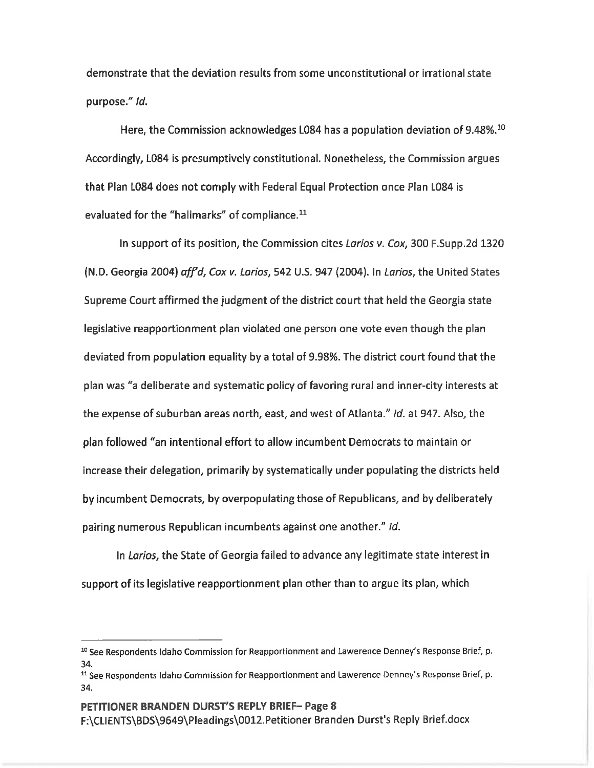demonstrate that the deviation results from some unconstitutional or irrational state purpose." *Id*.

Here, the Commission acknowledges L084 has a population deviation of 9.48%.<sup>10</sup> Accordingly, L084 is presumptively constitutional. Nonetheless, the Commission argues that Plan L084 does not comply with Federal Equal Protection once Plan L084 is evaluated for the "hallmarks" of compliance.<sup>11</sup>

In support of its position, the Commission cites Larios v. Cox, 300 F. Supp.2d 1320 (N.D. Georgia 2004) *aff<sup>y</sup>d, Cox v. Larios,* 542 U.S. 947 (2004). In *Larios,* the United States Supreme Court affirmed the judgment of the district court that held the Georgia state legislative reapportionment plan violated one person one vote even though the plan deviated from population equality by a total of 9.98%. The district court found that the plan was "a deliberate and systematic policy of favoring rural and inner-city interests at the expense of suburban areas north, east, and west of Atlanta." Id. at 947. Also, the plan followed "an intentional effort to allow incumbent Democrats to maintain or increase their delegation, primarily by systematically under populating the districts held by incumbent Democrats, by overpopulating those of Republicans, and by deliberately pairing numerous Republican incumbents against one another." Id.

In Larios, the State of Georgia failed to advance any legitimate state interest in support of its legislative reapportionment plan other than to argue its plan, which

<sup>&</sup>lt;sup>10</sup> See Respondents Idaho Commission for Reapportionment and Lawerence Denney's Response Brief, p. 34.

<sup>&</sup>lt;sup>11</sup> See Respondents Idaho Commission for Reapportionment and Lawerence Denney's Response Brief, p. 34.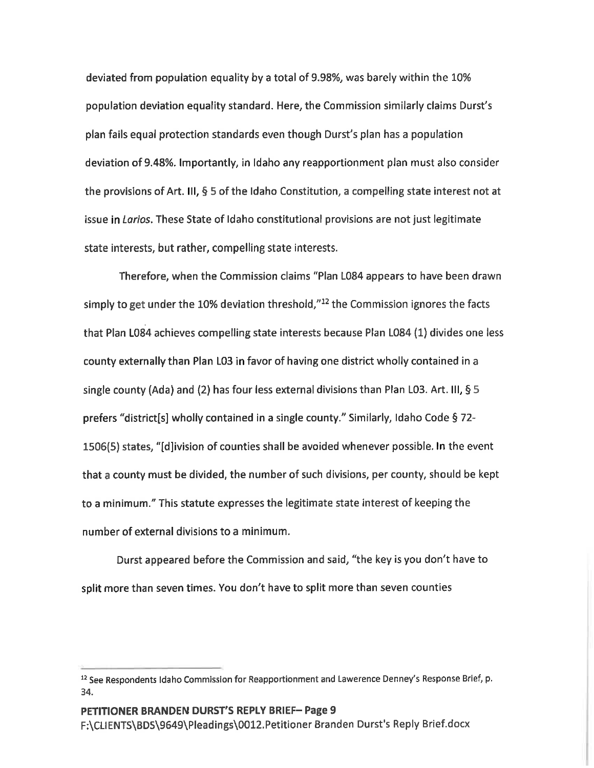deviated from population equality by a total of 9.98%, was barely within the 10% population deviation equality standard. Here, the Commission similarly claims Durst's plan fails equal protection standards even though Durst's plan has population deviation of 9.48%. lmportantly, in Idaho any reapportionment plan must also consider the provisions of Art. III,  $\S$  5 of the Idaho Constitution, a compelling state interest not at issue in Larios. These State of Idaho constitutional provisions are not just legitimate state interests, but rather, compelling state interests.

Therefore, when the Commission claims "Plan L084 appears to have been drawn simply to get under the 10% deviation threshold, $"^{12}$  the Commission ignores the facts that Plan L084 achieves compelling state interests because Plan L084 (1) divides one less county externally than Plan L03 in favor of having one district wholly contained in single county (Ada) and (2) has four less external divisions than Plan L03. Art. III,  $\S 5$ prefers "district[s] wholly contained in a single county." Similarly, Idaho Code § 72-1506(5) states, "[d]ivision of counties shall be avoided whenever possible. ln the event that a county must be divided, the number of such divisions, per county, should be kept to a minimum." This statute expresses the legitimate state interest of keeping the number of external divisions to a minimum.

Durst appeared before the Commission and said, "the key is you don't have to split more than seven times. You don't have to split more than seven counties

<sup>&</sup>lt;sup>12</sup> See Respondents Idaho Commission for Reapportionment and Lawerence Denney's Response Brief, p. 34.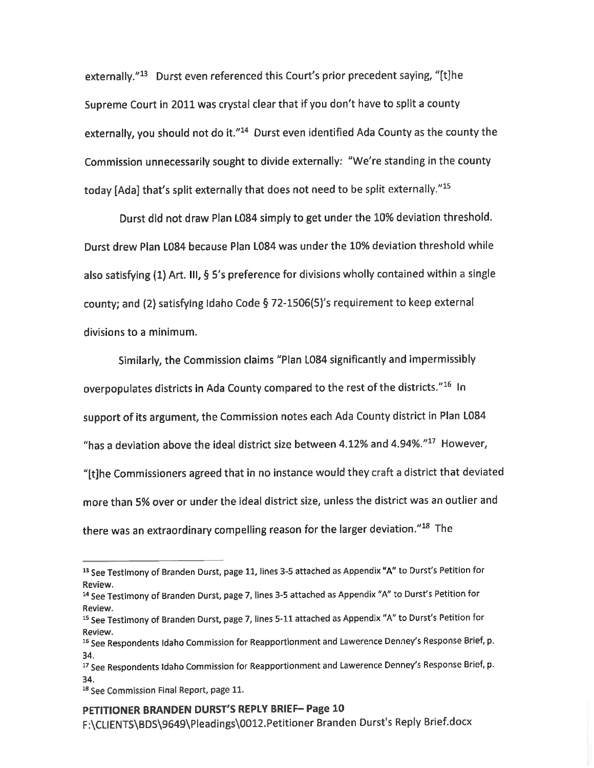externally."<sup>13</sup> Durst even referenced this Court's prior precedent saying, "[t]he Supreme Court in 2011 was crystal clear that if you don't have to split a county externally, you should not do it."<sup>14</sup> Durst even identified Ada County as the county the Commission unnecessarily sought to divide externally: "We're standing in the county today [Ada] that's split externally that does not need to be split externally."<sup>15</sup>

Durst did not draw Plan L084 simply to get under the 10% deviation threshold. Durst drew Plan L084 because Plan L084 was under the 10% deviation threshold while also satisfying (1) Art. III, § 5's preference for divisions wholly contained within a single county; and (2) satisfying Idaho Code § 72-1506(5)'s requirement to keep external divisions to a minimum.

Similarly, the Commission claims "Plan L084 significantly and impermissibly overpopulates districts in Ada County compared to the rest of the districts."<sup>16</sup> In support of its argument, the Commission notes each Ada County district in Plan L084 "has a deviation above the ideal district size between 4.12% and 4.94%." $^{17}$  However, "[t]he Commissioners agreed that in no instance would they craft a district that deviated more than 5% over or under the ideal district size, unless the district was an outlier and there was an extraordinary compelling reason for the larger deviation."<sup>18</sup> The

## PETITIONER BRANDEN DURST'S REPLY BRIEF— Page 10

F:\CLIENTS\BDS\9649\Pleadings\0012.Petitioner Branden Durst's Reply Brief.docx

<sup>15</sup> See Testimony of Branden Durst, page 11, lines 3-5 attached as Appendix "A" to Durst's Petition for Review.

<sup>&</sup>lt;sup>14</sup> See Testimony of Branden Durst, page 7, lines 3-5 attached as Appendix "A" to Durst's Petition for Review.

<sup>15</sup> See Testimony of Branden Durst, page 7, lines 5-11 attached as Appendix "A" to Durst's Petition for Review.

<sup>&</sup>lt;sup>16</sup> See Respondents Idaho Commission for Reapportionment and Lawerence Denney's Response Brief, p. 34.

<sup>&</sup>lt;sup>17</sup> See Respondents Idaho Commission for Reapportionment and Lawerence Denney's Response Brief, p. 34.

<sup>&</sup>lt;sup>18</sup> See Commission Final Report, page 11.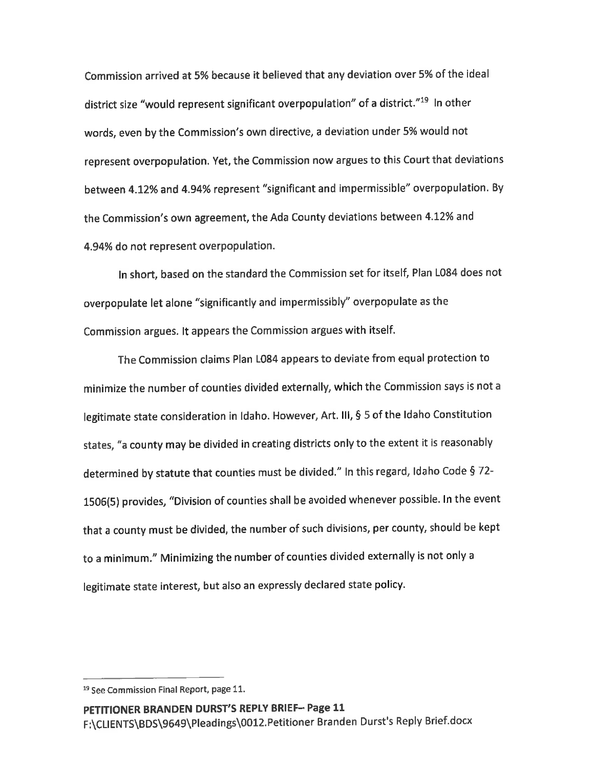Commission arrived at 5% because it believed that any deviation over 5% of the ideal district size "would represent significant overpopulation" of a district."<sup>19</sup> In other words, even by the Commission's own directive, a deviation under 5% would not represent overpopulation. Yet, the Commission now argues to this Court that deviations between 4.12% and 4.94% represent "significant and impermissible" overpopulation. By the Commission's own agreement, the Ada County deviations between 4.12% and 4.94% do not represent overpopulation.

In short, based on the standard the Commission set for itself, Plan L084 does not overpopulate let alone "significantly and impermissibly" overpopulate as the Commission argues. It appears the Commission argues with itself.

The Commission claims Plan L084 appears to deviate from equal protection to minimize the number of counties divided externally, which the Commission says is not legitimate state consideration in Idaho. However, Art. III, § 5 of the Idaho Constitution states, "a county may be divided in creating districts only to the extent it is reasonably determined by statute that counties must be divided." In this regard, Idaho Code § 72-1506(5) provides, "Division of counties shall be avoided whenever possible. In the event that a county must be divided, the number of such divisions, per county, should be kept to a minimum." Minimizing the number of counties divided externally is not only a legitimate state interest, but also an expressly declared state policy.

<sup>19</sup> See Commission Final Report, page 11.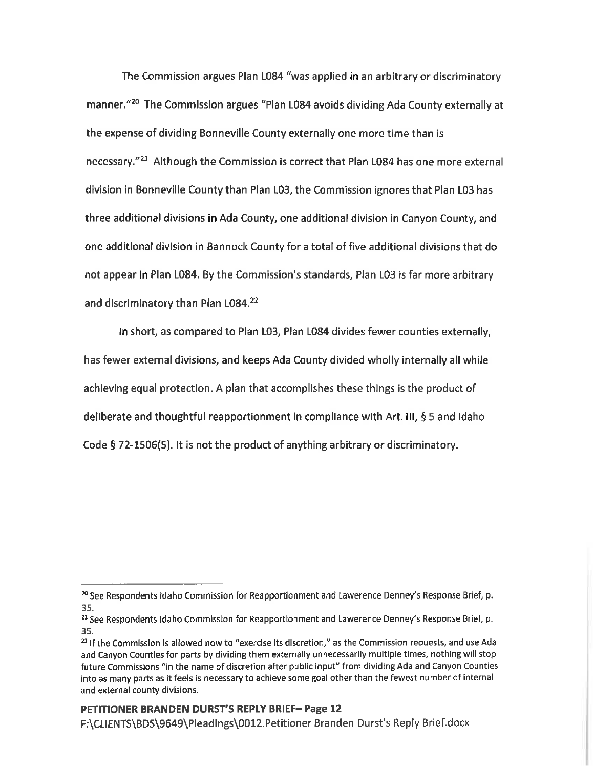The Commission argues Plan L084 "was applied in an arbitrary or discriminatory manner."<sup>20</sup> The Commission argues "Plan L084 avoids dividing Ada County externally at the expense of dividing Bonneville County externally one more time than is necessary.<sup>"21</sup> Although the Commission is correct that Plan L084 has one more external division in Bonneville County than Plan L03, the Commission ignores that Plan L03 has three additional divisions in Ada County, one additional division in Canyon County, and one additional division in Bannock County for a total of five additional divisions that do not appear in Plan L084. By the Commission's standards, Plan L03 is far more arbitrary and discriminatory than Plan L084.<sup>22</sup>

In short, as compared to Plan L03, Plan L084 divides fewer counties externally, has fewer external divisions, and keeps Ada County divided wholly internally all while achieving equal protection. A plan that accomplishes these things is the product of deliberate and thoughtful reapportionment in compliance with Art. III, § 5 and Idaho Code § 72-1506(5). It is not the product of anything arbitrary or discriminatory.

<sup>&</sup>lt;sup>20</sup> See Respondents Idaho Commission for Reapportionment and Lawerence Denney's Response Brief, p. 35.

<sup>&</sup>lt;sup>21</sup> See Respondents Idaho Commission for Reapportionment and Lawerence Denney's Response Brief, p. 35.

 $^{22}$  If the Commission is allowed now to "exercise its discretion," as the Commission requests, and use Ada and Canyon Counties for parts by dividing them externally unnecessarily multiple times, nothing will stop future Commissions "in the name of discretion after public input" from dividing Ada and Canyon Counties into as many parts as it feels is necessary to achieve some goal other than the fewest number of internal and external county divisions.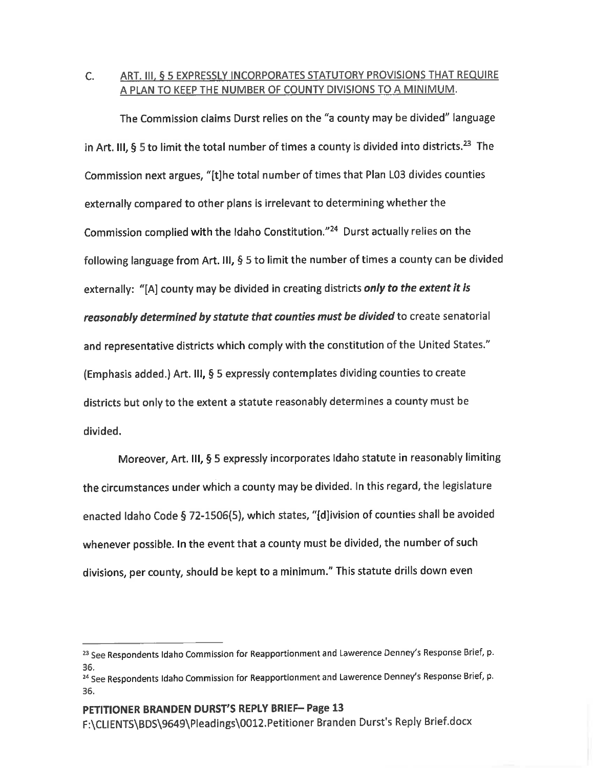## C. ART. III, § 5 EXPRESSLY INCORPORATES STATUTORY PROVISIONS THAT REQUIRE A PLAN TO KEEP THE NUMBER OF COUNTY DIVISIONS TO A MINIMUM.

The Commission claims Durst relies on the "a county may be divided" language in Art. III, § 5 to limit the total number of times a county is divided into districts.<sup>23</sup> The Commission next argues, "[t]he total number of times that Plan L03 divides counties externally compared to other plans is irrelevant to determining whether the Commission complied with the Idaho Constitution."<sup>24</sup> Durst actually relies on the following language from Art. III,  $\S$  5 to limit the number of times a county can be divided externally: "[A] county may be divided in creating districts only to the extent it is reasonably determined by statute that counties must be divided to create senatorial and representative districts which comply with the constitution of the United States." (Emphasis added.) Art. III, § 5 expressly contemplates dividing counties to create districts but only to the extent a statute reasonably determines a county must be divided.

Moreover, Art. III, § 5 expressly incorporates Idaho statute in reasonably limiting the circumstances under which a county may be divided. In this regard, the legislature enacted Idaho Code § 72-1506(5), which states, "[d]ivision of counties shall be avoided whenever possible. In the event that a county must be divided, the number of such divisions, per county, should be kept to a minimum." This statute drills down even

## PETITIONER BRANDEN DURST'S REPLY BRIEF— Page 13

F:\CLIENTS\BDS\9649\Pleadings\0012.Petitioner Branden Durst's Reply Brief.docx

<sup>&</sup>lt;sup>23</sup> See Respondents Idaho Commission for Reapportionment and Lawerence Denney's Response Brief, p. 36.

<sup>&</sup>lt;sup>24</sup> See Respondents Idaho Commission for Reapportionment and Lawerence Denney's Response Brief, p. 36.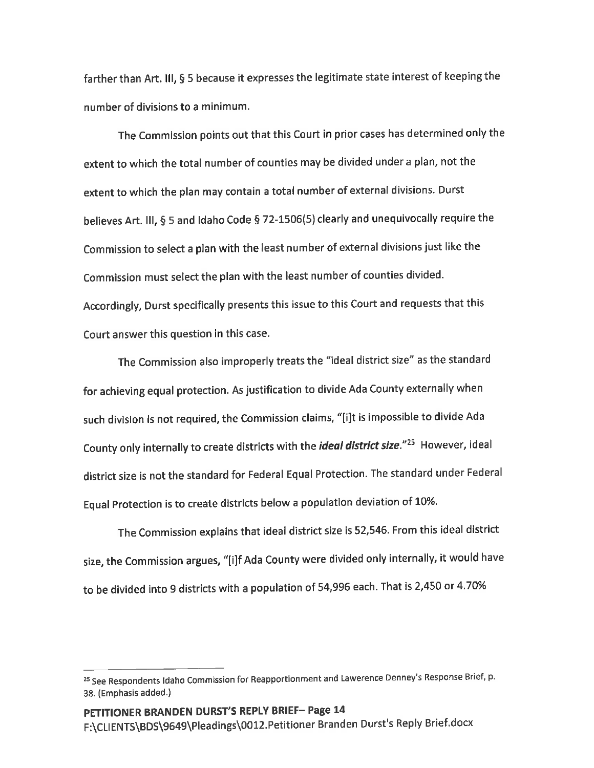farther than Art. III, § 5 because it expresses the legitimate state interest of keeping the number of divisions to a minimum.

The Commission points out that this Court in prior cases has determined only the extent to which the total number of counties may be divided under a plan, not the extent to which the plan may contain a total number of external divisions. Durst believes Art. III, § 5 and Idaho Code § 72-1506(5) clearly and unequivocally require the Commission to select a plan with the least number of external divisions just like the Commission must select the plan with the least number of counties divided. Accordingly, Durst specifically presents this issue to this Court and requests that this Court answer this question in this case.

The Commission also improperly treats the "ideal district size" as the standard for achieving equal protection. As justification to divide Ada County externally when such division is not required, the Commission claims, "[i]t is impossible to divide Ada County only internally to create districts with the *ideal district size."<sup>25</sup>* However, ideal district size is not the standard for Federal Equal Protection. The standard under Federal Equal Protection is to create districts below a population deviation of 10%.

The Commission explains that ideal district size is 52,546. From this ideal district size, the Commission argues, "[i]f Ada County were divided only internally, it would have to be divided into 9 districts with a population of 54,996 each. That is 2,450 or 4.70%

<sup>&</sup>lt;sup>25</sup> See Respondents Idaho Commission for Reapportionment and Lawerence Denney's Response Brief, p. 38. (Emphasis added.)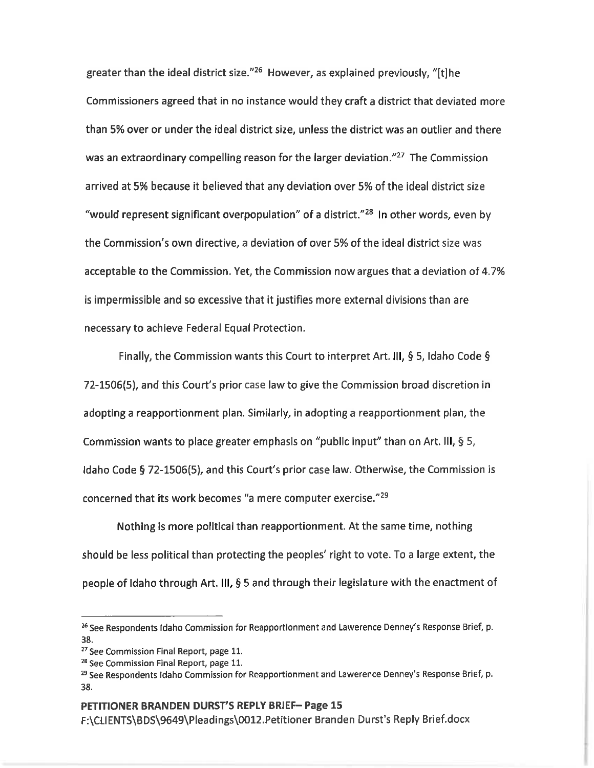greater than the ideal district size."25 However, as explained previously, "[t]he Commissioners agreed that in no instance would they craft a district that deviated more than 5% over or under the ideal district size, unless the district was an outlier and there was an extraordinary compelling reason for the larger deviation."<sup>27</sup> The Commission arrived at 5% because it believed that any deviation over 5% of the ideal district size "would represent significant overpopulation" of a district."<sup>28</sup> In other words, even by the Commission's own directive, deviation of over 5% of the ideal district size was acceptable to the Commission. Yet, the Commission now argues that a deviation of 4.7% is impermissible and so excessive that it justifies more external divisions than are necessary to achieve Federal Equal Protection.

Finally, the Commission wants this Court to interpret Art. III, § 5, Idaho Code § 72-1506(5), and this Court's prior case law to give the Commission broad discretion in adopting a reapportionment plan. Similarly, in adopting a reapportionment plan, the Commission wants to place greater emphasis on "public input" than on Art. III, § 5, Idaho Code § 72-1506(5), and this Court's prior case law. Otherwise, the Commission is concerned that its work becomes "a mere computer exercise."29

Nothing is more political than reapportionment. At the same time, nothing should be less political than protecting the peoples' right to vote. To a large extent, the people of Idaho through Art. III, § 5 and through their legislature with the enactment of

#### PETITIONER BRANDEN DURST'S REPLY BRIEF— Page 15

F:\CLIENTS\BDS\9649\Pleadings\0012.Petitioner Branden Durst's Reply Brief.docx

<sup>&</sup>lt;sup>26</sup> See Respondents Idaho Commission for Reapportionment and Lawerence Denney's Response Brief, p. 38.

<sup>27</sup> See Commission Final Report, page 11.

<sup>2°</sup> See Commission Final Report, page 11.

<sup>&</sup>lt;sup>29</sup> See Respondents Idaho Commission for Reapportionment and Lawerence Denney's Response Brief, p. 38.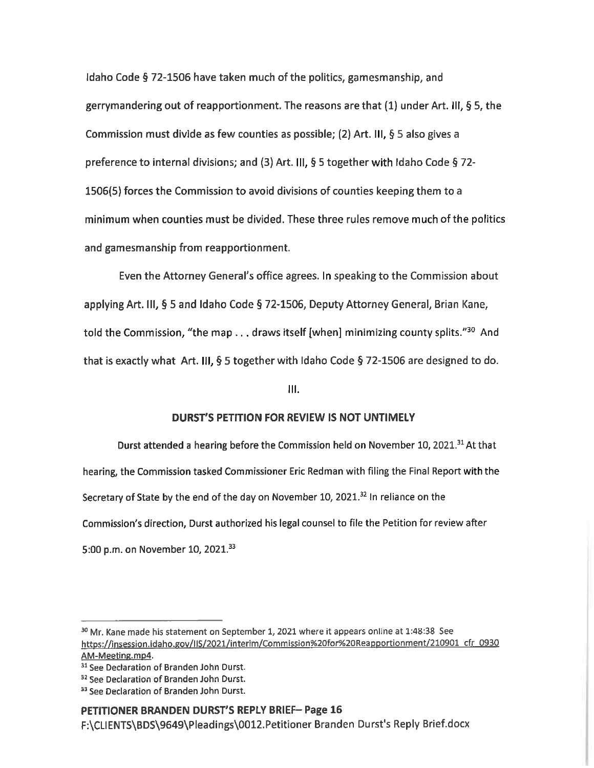Idaho Code § 72-1506 have taken much of the politics, gamesmanship, and gerrymandering out of reapportionment. The reasons are that  $(1)$  under Art. III, § 5, the Commission must divide as few counties as possible; (2) Art. III, § 5 also gives a preference to internal divisions; and (3) Art. III,  $\S$  5 together with Idaho Code  $\S$  72-1506(5) forces the Commission to avoid divisions of counties keeping them to a minimum when counties must be divided. These three rules remove much of the politics and gamesmanship from reapportionment.

Even the Attorney General's office agrees. In speaking to the Commission about applying Art. III, § 5 and Idaho Code § 72-1506, Deputy Attorney General, Brian Kane, told the Commission, "the map  $\ldots$  draws itself [when] minimizing county splits."<sup>30</sup> And that is exactly what Art. III,  $\frac{6}{5}$  5 together with Idaho Code  $\frac{6}{5}$  72-1506 are designed to do.

lll.

## DURST'S PETITION FOR REVIEW IS NOT UNTIMELY

Durst attended a hearing before the Commission held on November 10, 2021.<sup>31</sup> At that hearing, the Commission tasked Commissioner Eric Redman with filing the Final Report with the Secretary of State by the end of the day on November 10, 2021. $32$  In reliance on the Commission's direction, Durst authorized his legal counsel to file the Petition for review after 5:00 p.m. on November 10, 2021.<sup>33</sup>

## PETITIONER BRANDEN DURST'S REPLY BRIEF- Page 16

F:\CL|ENTS\BDS\9649\PIeadings\0012.Petitioner Branden Durst's Reply Brief.docx

<sup>&</sup>lt;sup>30</sup> Mr. Kane made his statement on September 1, 2021 where it appears online at 1:48:38 See <u>https://insession.idaho.gov/IIS/2021/interim/Commission%20for%20Reapportionment/210901\_cfr\_0</u> AM-Meeting.mp4.

<sup>&</sup>lt;sup>31</sup> See Declaration of Branden John Durst.

<sup>&</sup>lt;sup>32</sup> See Declaration of Branden John Durst.

<sup>&</sup>lt;sup>33</sup> See Declaration of Branden John Durst.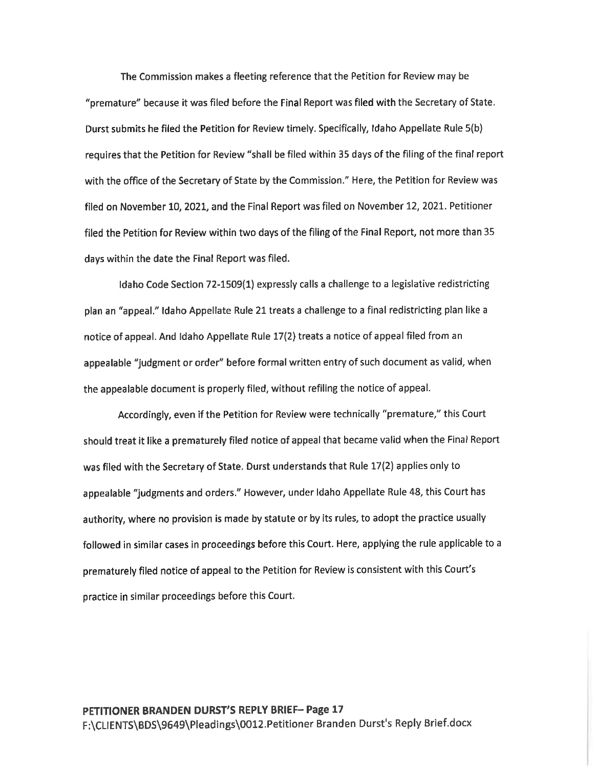The Commission makes a fleeting reference that the Petition for Review may be "premature" because it was filed before the Final Report was filed with the Secretary of State. Durst submits he filed the Petition for Review timely. Specifically, Idaho Appellate Rule 5(b) requires that the Petition for Review "shall be filed within <sup>35</sup> days of the filing of the final report with the office of the Secretary of State by the Commission." Here, the Petition for Review was filed on November 10, 2021, and the Final Report was filed on November 12, 2021. Petitioner filed the Petition for Review within two days of the filing of the Final Report, not more than 35 days within the date the Final Report was filed.

Idaho Code Section 72-1509(1) expressly calls a challenge to a legislative redistricting plan an "appeal." Idaho Appellate Rule 21 treats a challenge to a final redistricting plan like a notice of appeal. And Idaho Appellate Rule 17(2) treats a notice of appeal filed from an appealable "judgment or order" before formal written entry of such document as valid, when the appealable document is properly filed, without refiling the notice of appeal.

Accordingly, even if the Petition for Review were technically "premature," this Court should treat it like a prematurely filed notice of appeal that became valid when the Final Report was filed with the Secretary of State. Durst understands that Rule 17(2) applies only to appealable "judgments and orders." However, under ldaho Appellate Rule 48, this Court has authority, where no provision is made by statute or by its rules, to adopt the practice usually followed in similar cases in proceedings before this Court. Here, applying the rule applicable to a prematurely filed notice of appeal to the Petition for Review is consistent with this Court's practice in similar proceedings before this Court.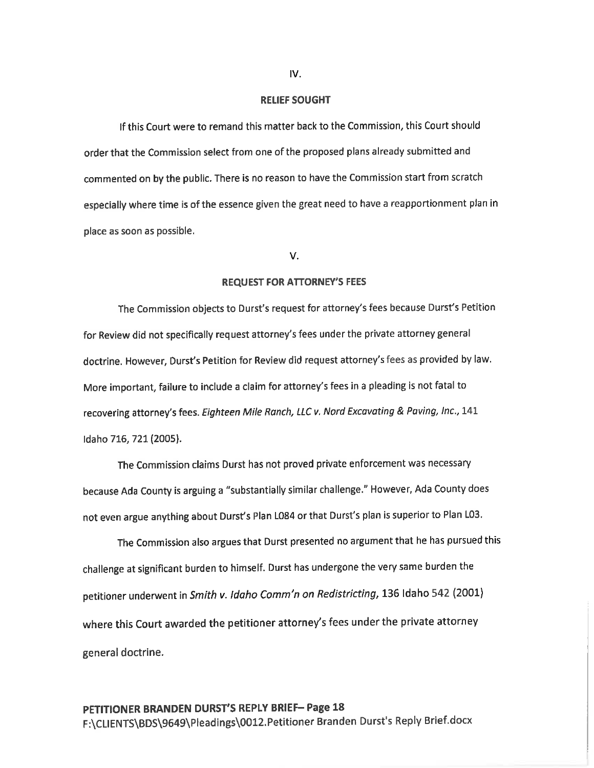#### RELIEF SOUGHT

If this Court were to remand this matter back to the Commission, this Court should order that the Commission select from one of the proposed plans already submitted and commented on by the public. There is no reason to have the Commission start from scratch especially where time is of the essence given the great need to have a reapportionment plan in place as soon as possible.

#### V.

#### REQUEST FOR ATTORNEY'S FEES

The Commission objects to Durst's request for attorney's fees because Durst's Petition for Review did not specifically request attorney's fees under the private attorney general doctrine. However, Durst's Petition for Review did request attorney's fees as provided by law. More important, failure to include a claim for attorney's fees in a pleading is not fatal to recovering attorney's fees. Eighteen Mile Ranch, LLC v. Nord Excavating & Paving, Inc., 141 Idaho 716, 721 (2005).

The Commission claims Durst has not proved private enforcement was necessary because Ada County is arguing a "substantially similar challenge." However, Ada County does not even argue anything about Durst's Plan L084 or that Durst's plan is superior to Plan L03.

The Commission also argues that Durst presented no argument that he has pursued this challenge at significant burden to himself. Durst has undergone the very same burden the petitioner underwent in Smith v. Idaho Comm'n on Redistricting, 136 Idaho 542 (2001) where this Court awarded the petitioner attorney's fees under the private attorney general doctrine.

## PETITIONER BRANDEN DURST'S REPLY BRIEF— Page 18 F:\CLIENTS\BDS\9649\Pleadings\0012.Petitioner Branden Durst's Reply Brief.docx

#### IV.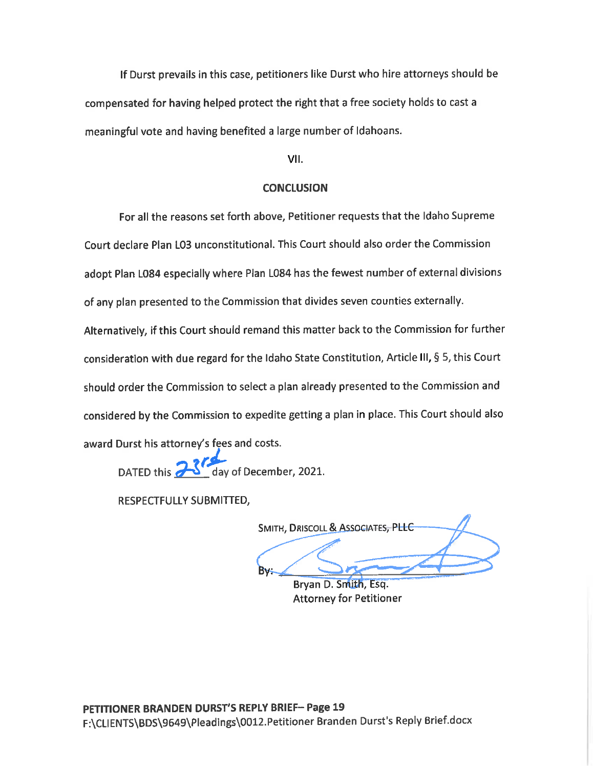If Durst prevails in this case, petitioners like Durst who hire attorneys should be compensated for having helped protect the right that a free society holds to cast a meaningful vote and having benefited a large number of Idahoans.

VII.

## **CONCLUSION**

For all the reasons set forth above, Petitioner requests that the Idaho Supreme Court declare Plan L03 unconstitutional. This Court should also order the Commission adopt Plan L084 especially where Plan L084 has the fewest number of external divisions of any plan presented to the Commission that divides seven counties externally. Alternatively, if this Court should remand this matter back to the Commission for further consideration with due regard for the Idaho State Constitution, Article III, § 5, this Court should order the Commission to select a plan already presented to the Commission and considered by the Commission to expedite getting a plan in place. This Court should also award Durst his attorney's fees and costs.

DATED this  $\frac{1}{2}$  day of December, 2021.

RESPECTFULLY SUBMITTED,

SMITH, DRISCOLL & ASSOCIATES, PLLC **Bv:** 

Brvan D. Smith, Esg. Attorney for Petitioner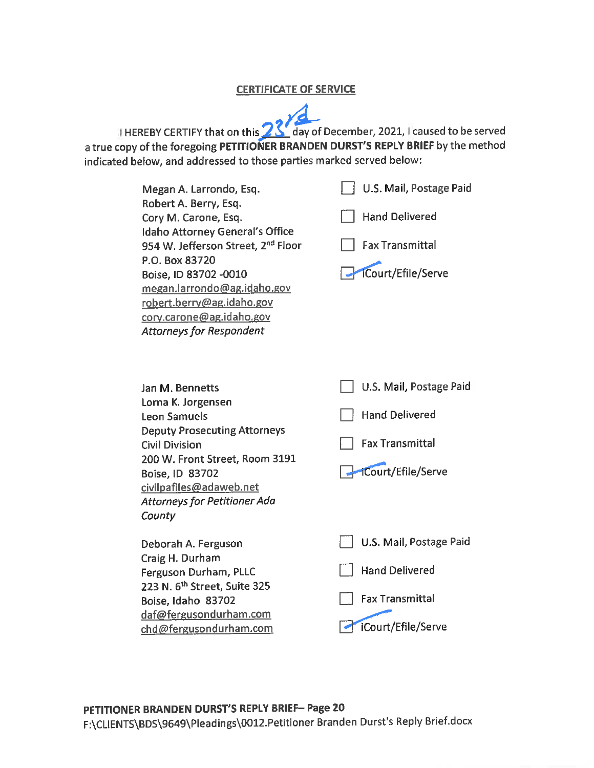## CERTIFICATE OF SERVICE

HEREBY CERTIFY that on this **23 Year** of December, 2021, I caused to be served a true copy of the foregoing PETITIONER BRANDEN DURST'S REPLY BRIEF by the method indicated below, and addressed to those parties marked served below:

| Megan A. Larrondo, Esq.<br>Robert A. Berry, Esq.<br>Cory M. Carone, Esq.<br>Idaho Attorney General's Office<br>954 W. Jefferson Street, 2 <sup>nd</sup> Floor<br>P.O. Box 83720<br>Boise, ID 83702 -0010<br>megan.larrondo@ag.idaho.gov<br>robert.berry@ag.idaho.gov<br>cory.carone@ag.idaho.gov<br><b>Attorneys for Respondent</b> | U.S. Mail, Postage Paid<br><b>Hand Delivered</b><br><b>Fax Transmittal</b><br>iCourt/Efile/Serve |
|-------------------------------------------------------------------------------------------------------------------------------------------------------------------------------------------------------------------------------------------------------------------------------------------------------------------------------------|--------------------------------------------------------------------------------------------------|
| Jan M. Bennetts<br>Lorna K. Jorgensen<br><b>Leon Samuels</b><br><b>Deputy Prosecuting Attorneys</b><br><b>Civil Division</b><br>200 W. Front Street, Room 3191<br>Boise, ID 83702<br>civilpafiles@adaweb.net<br><b>Attorneys for Petitioner Ada</b><br>County                                                                       | U.S. Mail, Postage Paid<br><b>Hand Delivered</b><br><b>Fax Transmittal</b><br>iCourt/Efile/Serve |
| Deborah A. Ferguson<br>Craig H. Durham<br>Ferguson Durham, PLLC<br>223 N. 6 <sup>th</sup> Street, Suite 325<br>Boise, Idaho 83702<br>daf@fergusondurham.com<br>chd@fergusondurham.com                                                                                                                                               | U.S. Mail, Postage Paid<br><b>Hand Delivered</b><br><b>Fax Transmittal</b><br>iCourt/Efile/Serve |